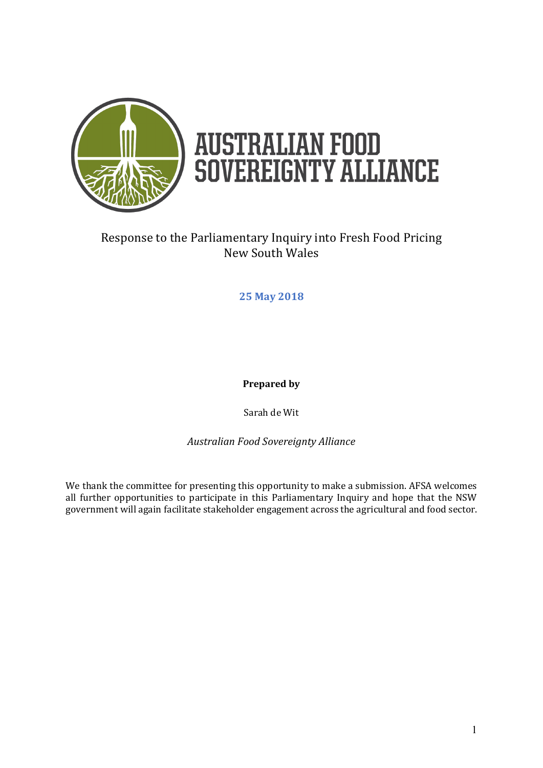

# **AUSTRALIAN FOOD<br>SOVEREIGNTY ALLIANCE**

## Response to the Parliamentary Inquiry into Fresh Food Pricing New South Wales

#### **25 May 2018**

**Prepared by**

Sarah de Wit

*Australian Food Sovereignty Alliance*

We thank the committee for presenting this opportunity to make a submission. AFSA welcomes all further opportunities to participate in this Parliamentary Inquiry and hope that the NSW government will again facilitate stakeholder engagement across the agricultural and food sector.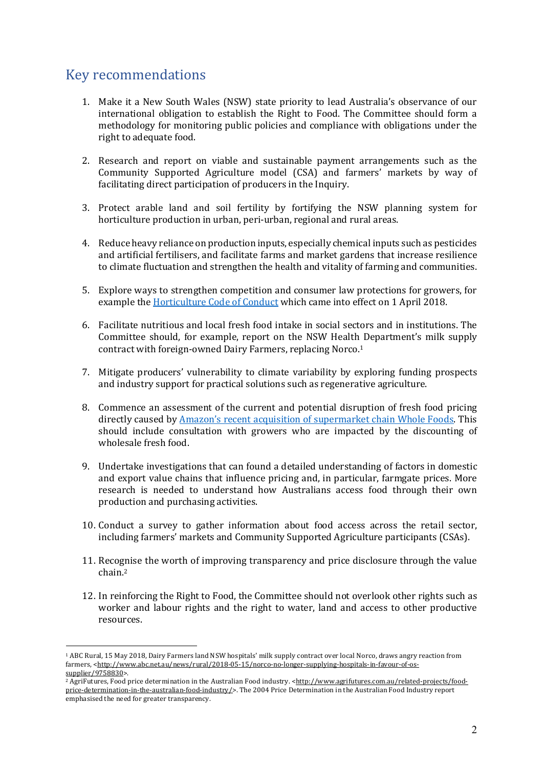## Key recommendations

- 1. Make it a New South Wales (NSW) state priority to lead Australia's observance of our international obligation to establish the Right to Food. The Committee should form a methodology for monitoring public policies and compliance with obligations under the right to adequate food.
- 2. Research and report on viable and sustainable payment arrangements such as the Community Supported Agriculture model (CSA) and farmers' markets by way of facilitating direct participation of producers in the Inquiry.
- 3. Protect arable land and soil fertility by fortifying the NSW planning system for horticulture production in urban, peri-urban, regional and rural areas.
- 4. Reduce heavy reliance on production inputs, especially chemical inputs such as pesticides and artificial fertilisers, and facilitate farms and market gardens that increase resilience to climate fluctuation and strengthen the health and vitality of farming and communities.
- 5. Explore ways to strengthen competition and consumer law protections for growers, for example the Horticulture Code of Conduct which came into effect on 1 April 2018.
- 6. Facilitate nutritious and local fresh food intake in social sectors and in institutions. The Committee should, for example, report on the NSW Health Department's milk supply contract with foreign-owned Dairy Farmers, replacing Norco.<sup>1</sup>
- 7. Mitigate producers' vulnerability to climate variability by exploring funding prospects and industry support for practical solutions such as regenerative agriculture.
- 8. Commence an assessment of the current and potential disruption of fresh food pricing directly caused by Amazon's recent acquisition of supermarket chain Whole Foods. This should include consultation with growers who are impacted by the discounting of wholesale fresh food.
- 9. Undertake investigations that can found a detailed understanding of factors in domestic and export value chains that influence pricing and, in particular, farmgate prices. More research is needed to understand how Australians access food through their own production and purchasing activities.
- 10. Conduct a survey to gather information about food access across the retail sector, including farmers' markets and Community Supported Agriculture participants (CSAs).
- 11. Recognise the worth of improving transparency and price disclosure through the value chain.2
- 12. In reinforcing the Right to Food, the Committee should not overlook other rights such as worker and labour rights and the right to water, land and access to other productive resources.

<sup>&</sup>lt;sup>1</sup> ABC Rural, 15 May 2018, Dairy Farmers land NSW hospitals' milk supply contract over local Norco, draws angry reaction from farmers, <http://www.abc.net.au/news/rural/2018-05-15/norco-no-longer-supplying-hospitals-in-favour-of-ossupplier/9758830>.

<sup>&</sup>lt;sup>2</sup> AgriFutures, Food price determination in the Australian Food industry. <http://www.agrifutures.com.au/related-projects/foodprice-determination-in-the-australian-food-industry/>. The 2004 Price Determination in the Australian Food Industry report emphasised the need for greater transparency.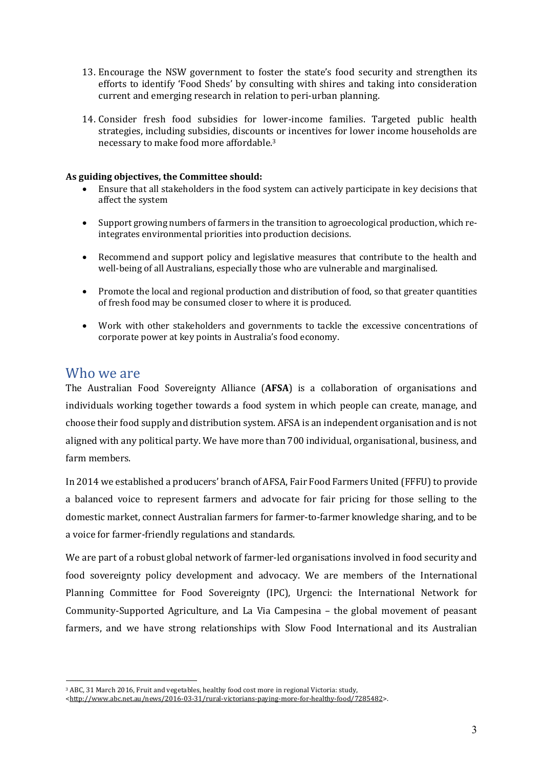- 13. Encourage the NSW government to foster the state's food security and strengthen its efforts to identify 'Food Sheds' by consulting with shires and taking into consideration current and emerging research in relation to peri-urban planning.
- 14. Consider fresh food subsidies for lower-income families. Targeted public health strategies, including subsidies, discounts or incentives for lower income households are necessary to make food more affordable.<sup>3</sup>

#### As guiding objectives, the Committee should:

- Ensure that all stakeholders in the food system can actively participate in key decisions that affect the system
- Support growing numbers of farmers in the transition to agroecological production, which reintegrates environmental priorities into production decisions.
- Recommend and support policy and legislative measures that contribute to the health and well-being of all Australians, especially those who are vulnerable and marginalised.
- Promote the local and regional production and distribution of food, so that greater quantities of fresh food may be consumed closer to where it is produced.
- Work with other stakeholders and governments to tackle the excessive concentrations of corporate power at key points in Australia's food economy.

#### Who we are

 $\overline{a}$ 

The Australian Food Sovereignty Alliance (**AFSA**) is a collaboration of organisations and individuals working together towards a food system in which people can create, manage, and choose their food supply and distribution system. AFSA is an independent organisation and is not aligned with any political party. We have more than 700 individual, organisational, business, and farm members.

In 2014 we established a producers' branch of AFSA, Fair Food Farmers United (FFFU) to provide a balanced voice to represent farmers and advocate for fair pricing for those selling to the domestic market, connect Australian farmers for farmer-to-farmer knowledge sharing, and to be a voice for farmer-friendly regulations and standards.

We are part of a robust global network of farmer-led organisations involved in food security and food sovereignty policy development and advocacy. We are members of the International Planning Committee for Food Sovereignty (IPC), Urgenci: the International Network for Community-Supported Agriculture, and La Via Campesina – the global movement of peasant farmers, and we have strong relationships with Slow Food International and its Australian

<sup>&</sup>lt;sup>3</sup> ABC, 31 March 2016, Fruit and vegetables, healthy food cost more in regional Victoria: study,

<sup>&</sup>lt;http://www.abc.net.au/news/2016-03-31/rural-victorians-paying-more-for-healthy-food/7285482>.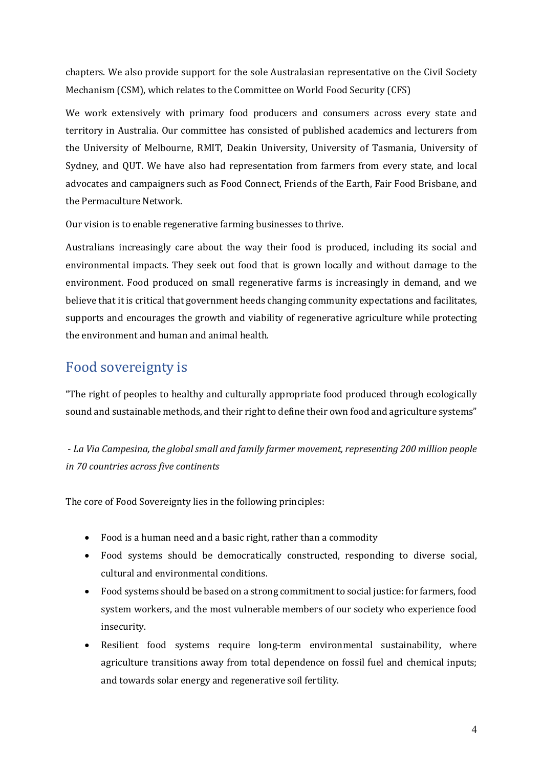chapters. We also provide support for the sole Australasian representative on the Civil Society Mechanism (CSM), which relates to the Committee on World Food Security (CFS)

We work extensively with primary food producers and consumers across every state and territory in Australia. Our committee has consisted of published academics and lecturers from the University of Melbourne, RMIT, Deakin University, University of Tasmania, University of Sydney, and QUT. We have also had representation from farmers from every state, and local advocates and campaigners such as Food Connect, Friends of the Earth, Fair Food Brisbane, and the Permaculture Network.

Our vision is to enable regenerative farming businesses to thrive.

Australians increasingly care about the way their food is produced, including its social and environmental impacts. They seek out food that is grown locally and without damage to the environment. Food produced on small regenerative farms is increasingly in demand, and we believe that it is critical that government heeds changing community expectations and facilitates, supports and encourages the growth and viability of regenerative agriculture while protecting the environment and human and animal health.

## Food sovereignty is

"The right of peoples to healthy and culturally appropriate food produced through ecologically sound and sustainable methods, and their right to define their own food and agriculture systems"

- La Via Campesina, the global small and family farmer movement, representing 200 million people *in 70 countries across five continents*

The core of Food Sovereignty lies in the following principles:

- Food is a human need and a basic right, rather than a commodity
- Food systems should be democratically constructed, responding to diverse social, cultural and environmental conditions.
- Food systems should be based on a strong commitment to social justice: for farmers, food system workers, and the most vulnerable members of our society who experience food insecurity.
- Resilient food systems require long-term environmental sustainability, where agriculture transitions away from total dependence on fossil fuel and chemical inputs; and towards solar energy and regenerative soil fertility.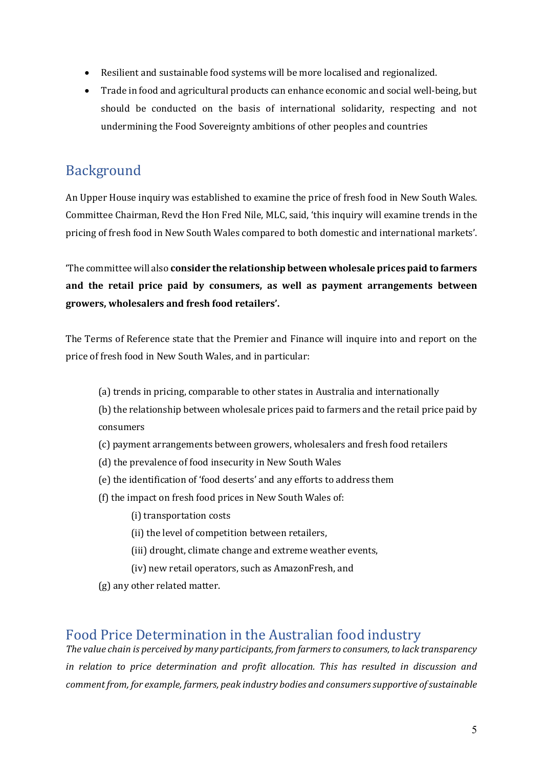- Resilient and sustainable food systems will be more localised and regionalized.
- Trade in food and agricultural products can enhance economic and social well-being, but should be conducted on the basis of international solidarity, respecting and not undermining the Food Sovereignty ambitions of other peoples and countries

# Background

An Upper House inquiry was established to examine the price of fresh food in New South Wales. Committee Chairman, Revd the Hon Fred Nile, MLC, said, 'this inquiry will examine trends in the pricing of fresh food in New South Wales compared to both domestic and international markets'.

The committee will also **consider the relationship between wholesale prices paid to farmers** and the retail price paid by consumers, as well as payment arrangements between growers, wholesalers and fresh food retailers'.

The Terms of Reference state that the Premier and Finance will inquire into and report on the price of fresh food in New South Wales, and in particular:

(a) trends in pricing, comparable to other states in Australia and internationally

(b) the relationship between wholesale prices paid to farmers and the retail price paid by consumers 

- (c) payment arrangements between growers, wholesalers and fresh food retailers
- (d) the prevalence of food insecurity in New South Wales
- (e) the identification of 'food deserts' and any efforts to address them
- (f) the impact on fresh food prices in New South Wales of:
	- (i) transportation costs
	- (ii) the level of competition between retailers,
	- (iii) drought, climate change and extreme weather events,
	- (iv) new retail operators, such as AmazonFresh, and
- (g) any other related matter.

## Food Price Determination in the Australian food industry

The value chain is perceived by many participants, from farmers to consumers, to lack transparency in relation to price determination and profit allocation. This has resulted in discussion and *comment from, for example, farmers, peak industry bodies and consumers supportive of sustainable*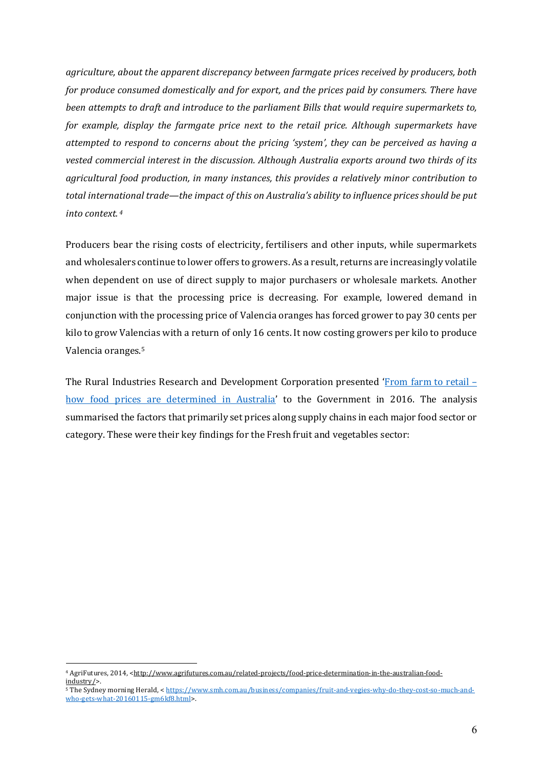*agriculture, about the apparent discrepancy between farmgate prices received by producers, both* for produce consumed domestically and for export, and the prices paid by consumers. There have *been attempts to draft and introduce to the parliament Bills that would require supermarkets to, for* example, display the farmgate price next to the retail price. Although supermarkets have *attempted to respond to concerns about the pricing 'system', they can be perceived as having a* vested commercial interest in the discussion. Although Australia exports around two thirds of its agricultural food production, in many instances, this provides a relatively minor contribution to total international trade—the *impact of this on Australia's ability to influence prices should be put into context. <sup>4</sup>*

Producers bear the rising costs of electricity, fertilisers and other inputs, while supermarkets and wholesalers continue to lower offers to growers. As a result, returns are increasingly volatile when dependent on use of direct supply to major purchasers or wholesale markets. Another major issue is that the processing price is decreasing. For example, lowered demand in conjunction with the processing price of Valencia oranges has forced grower to pay 30 cents per kilo to grow Valencias with a return of only 16 cents. It now costing growers per kilo to produce Valencia oranges.<sup>5</sup>

The Rural Industries Research and Development Corporation presented 'From farm to retail – how food prices are determined in Australia' to the Government in 2016. The analysis summarised the factors that primarily set prices along supply chains in each major food sector or category. These were their key findings for the Fresh fruit and vegetables sector:

<sup>4</sup> AgriFutures, 2014, <http://www.agrifutures.com.au/related-projects/food-price-determination-in-the-australian-foodindustry/>. 

<sup>5</sup> The Sydney morning Herald, < https://www.smh.com.au/business/companies/fruit-and-vegies-why-do-they-cost-so-much-andwho-gets-what-20160115-gm6kf8.html>.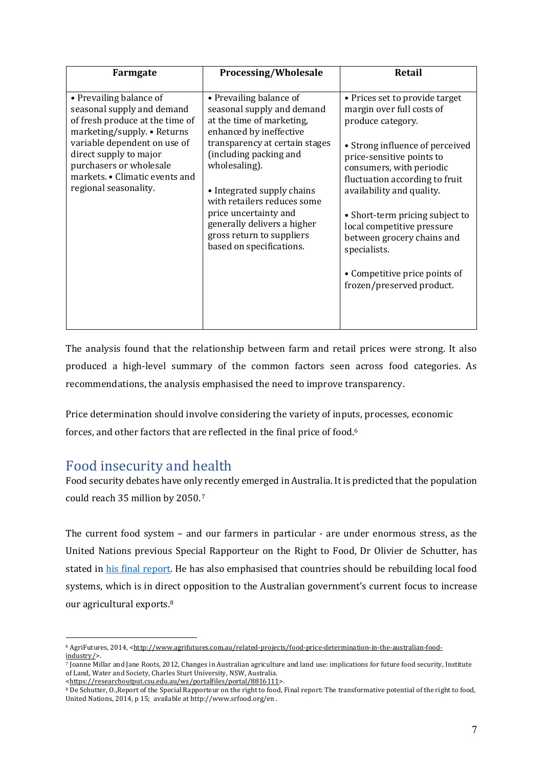| Farmgate                                                                                                                                                                                                                                                                | Processing/Wholesale                                                                                                                                                                                                                                                                                                                                                     | Retail                                                                                                                                                                                                                                                                                                                                                                                                                   |
|-------------------------------------------------------------------------------------------------------------------------------------------------------------------------------------------------------------------------------------------------------------------------|--------------------------------------------------------------------------------------------------------------------------------------------------------------------------------------------------------------------------------------------------------------------------------------------------------------------------------------------------------------------------|--------------------------------------------------------------------------------------------------------------------------------------------------------------------------------------------------------------------------------------------------------------------------------------------------------------------------------------------------------------------------------------------------------------------------|
| • Prevailing balance of<br>seasonal supply and demand<br>of fresh produce at the time of<br>marketing/supply. • Returns<br>variable dependent on use of<br>direct supply to major<br>purchasers or wholesale<br>markets. • Climatic events and<br>regional seasonality. | • Prevailing balance of<br>seasonal supply and demand<br>at the time of marketing,<br>enhanced by ineffective<br>transparency at certain stages<br>(including packing and<br>wholesaling).<br>• Integrated supply chains<br>with retailers reduces some<br>price uncertainty and<br>generally delivers a higher<br>gross return to suppliers<br>based on specifications. | • Prices set to provide target<br>margin over full costs of<br>produce category.<br>• Strong influence of perceived<br>price-sensitive points to<br>consumers, with periodic<br>fluctuation according to fruit<br>availability and quality.<br>• Short-term pricing subject to<br>local competitive pressure<br>between grocery chains and<br>specialists.<br>• Competitive price points of<br>frozen/preserved product. |

The analysis found that the relationship between farm and retail prices were strong. It also produced a high-level summary of the common factors seen across food categories. As recommendations, the analysis emphasised the need to improve transparency.

Price determination should involve considering the variety of inputs, processes, economic forces, and other factors that are reflected in the final price of food.<sup>6</sup>

## Food insecurity and health

Food security debates have only recently emerged in Australia. It is predicted that the population could reach 35 million by 2050.<sup>7</sup>

The current food system - and our farmers in particular - are under enormous stress, as the United Nations previous Special Rapporteur on the Right to Food, Dr Olivier de Schutter, has stated in his final report. He has also emphasised that countries should be rebuilding local food systems, which is in direct opposition to the Australian government's current focus to increase our agricultural exports.<sup>8</sup>

<sup>6</sup> AgriFutures, 2014, <http://www.agrifutures.com.au/related-projects/food-price-determination-in-the-australian-foodindustry/>. 

 $\frac{7}{10}$ anne Millar and Jane Roots, 2012, Changes in Australian agriculture and land use: implications for future food security, Institute of Land, Water and Society, Charles Sturt University, NSW, Australia.

<sup>&</sup>lt;https://researchoutput.csu.edu.au/ws/portalfiles/portal/8816111>. 

<sup>8</sup> De Schutter, O., Report of the Special Rapporteur on the right to food, Final report: The transformative potential of the right to food, United Nations, 2014, p 15; available at http://www.srfood.org/en.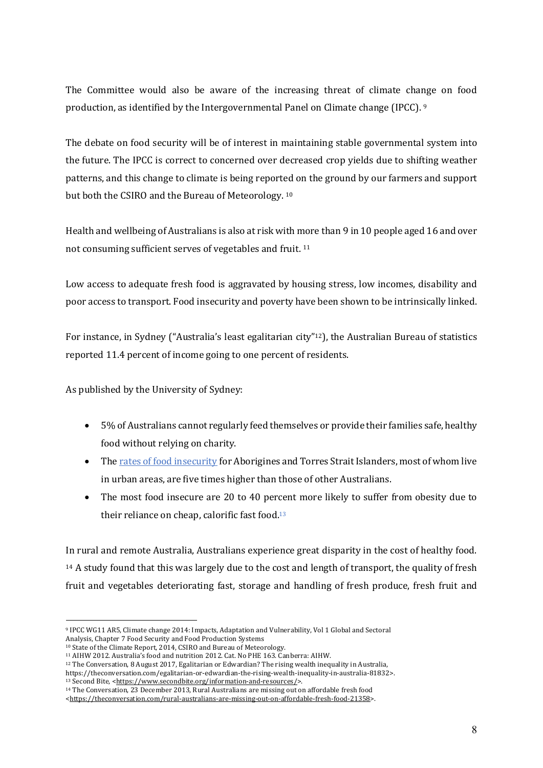The Committee would also be aware of the increasing threat of climate change on food production, as identified by the Intergovernmental Panel on Climate change (IPCC).  $9$ 

The debate on food security will be of interest in maintaining stable governmental system into the future. The IPCC is correct to concerned over decreased crop yields due to shifting weather patterns, and this change to climate is being reported on the ground by our farmers and support but both the CSIRO and the Bureau of Meteorology. 10

Health and wellbeing of Australians is also at risk with more than 9 in 10 people aged 16 and over not consuming sufficient serves of vegetables and fruit. <sup>11</sup>

Low access to adequate fresh food is aggravated by housing stress, low incomes, disability and poor access to transport. Food insecurity and poverty have been shown to be intrinsically linked.

For instance, in Sydney ("Australia's least egalitarian city"<sup>12</sup>), the Australian Bureau of statistics reported 11.4 percent of income going to one percent of residents.

As published by the University of Sydney:

- 5% of Australians cannot regularly feed themselves or provide their families safe, healthy food without relying on charity.
- The rates of food insecurity for Aborigines and Torres Strait Islanders, most of whom live in urban areas, are five times higher than those of other Australians.
- The most food insecure are 20 to 40 percent more likely to suffer from obesity due to their reliance on cheap, calorific fast food. $13$

In rural and remote Australia, Australians experience great disparity in the cost of healthy food.  $14$  A study found that this was largely due to the cost and length of transport, the quality of fresh fruit and vegetables deteriorating fast, storage and handling of fresh produce, fresh fruit and

 $\overline{a}$ 9 IPCC WG11 AR5, Climate change 2014: Impacts, Adaptation and Vulnerability, Vol 1 Global and Sectoral Analysis, Chapter 7 Food Security and Food Production Systems

<sup>&</sup>lt;sup>10</sup> State of the Climate Report, 2014, CSIRO and Bureau of Meteorology.

<sup>&</sup>lt;sup>11</sup> AIHW 2012. Australia's food and nutrition 2012. Cat. No PHE 163. Canberra: AIHW.

<sup>&</sup>lt;sup>12</sup> The Conversation, 8 August 2017, Egalitarian or Edwardian? The rising wealth inequality in Australia,

https://theconversation.com/egalitarian-or-edwardian-the-rising-wealth-inequality-in-australia-81832>. <sup>13</sup> Second Bite, <https://www.secondbite.org/information-and-resources/>.

<sup>&</sup>lt;sup>14</sup> The Conversation, 23 December 2013, Rural Australians are missing out on affordable fresh food

<sup>&</sup>lt;https://theconversation.com/rural-australians-are-missing-out-on-affordable-fresh-food-21358>.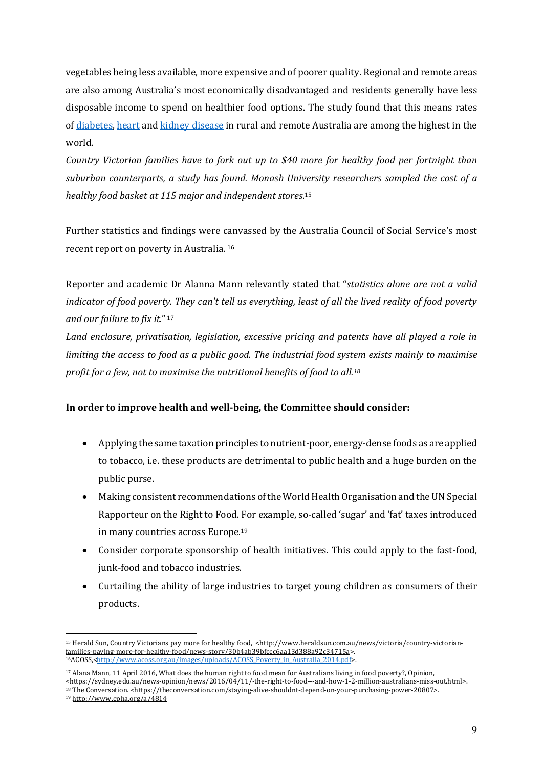vegetables being less available, more expensive and of poorer quality. Regional and remote areas are also among Australia's most economically disadvantaged and residents generally have less disposable income to spend on healthier food options. The study found that this means rates of diabetes, heart and kidney disease in rural and remote Australia are among the highest in the world.

*Country Victorian families have to fork out up to \$40 more for healthy food per fortnight than suburban counterparts, a study has found. Monash University researchers sampled the cost of a*  healthy food basket at 115 major and independent stores.<sup>15</sup>

Further statistics and findings were canvassed by the Australia Council of Social Service's most recent report on poverty in Australia.<sup>16</sup>

Reporter and academic Dr Alanna Mann relevantly stated that "*statistics alone are not a valid indicator* of food poverty. They can't tell us everything, least of all the lived reality of food poverty and our failure to fix it."<sup>17</sup>

*Land* enclosure, privatisation, legislation, excessive pricing and patents have all played a role in *limiting the access to food as a public good. The industrial food system exists mainly to maximise profit for a few, not to maximise the nutritional benefits of food to all.<sup>18</sup>* 

#### In order to improve health and well-being, the Committee should consider:

- Applying the same taxation principles to nutrient-poor, energy-dense foods as are applied to tobacco, i.e. these products are detrimental to public health and a huge burden on the public purse.
- Making consistent recommendations of the World Health Organisation and the UN Special Rapporteur on the Right to Food. For example, so-called 'sugar' and 'fat' taxes introduced in many countries across Europe.<sup>19</sup>
- Consider corporate sponsorship of health initiatives. This could apply to the fast-food, junk-food and tobacco industries.
- Curtailing the ability of large industries to target young children as consumers of their products.

<sup>&</sup>lt;sup>15</sup> Herald Sun, Country Victorians pay more for healthy food, <http://www.heraldsun.com.au/news/victoria/country-victorianfamilies-paying-more-for-healthy-food/news-story/30b4ab39bfccc6aa13d388a92c34715a>. 16ACOSS,<http://www.acoss.org.au/images/uploads/ACOSS\_Poverty\_in\_Australia\_2014.pdf>.

<sup>&</sup>lt;sup>17</sup> Alana Mann, 11 April 2016, What does the human right to food mean for Australians living in food poverty?, Opinion, <https://sydney.edu.au/news-opinion/news/2016/04/11/-the-right-to-food---and-how-1-2-million-australians-miss-out.html>.

<sup>&</sup>lt;sup>18</sup> The Conversation. <https://theconversation.com/staying-alive-shouldnt-depend-on-your-purchasing-power-20807>.

<sup>19</sup> http://www.epha.org/a/4814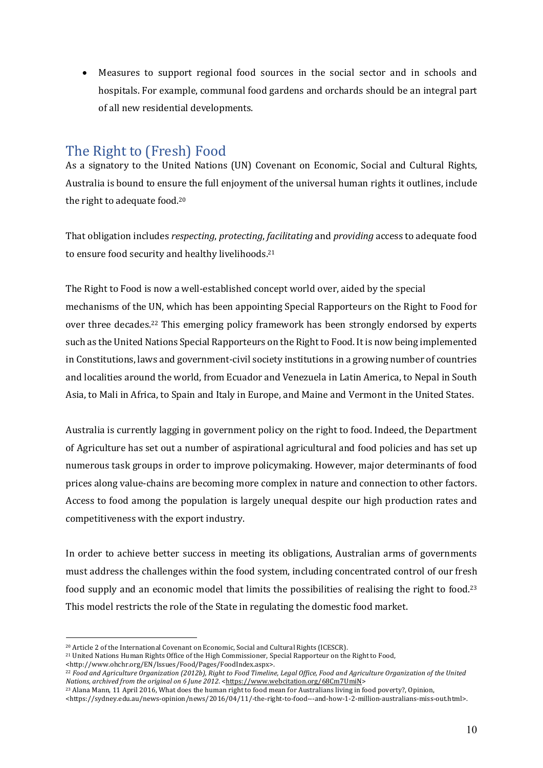• Measures to support regional food sources in the social sector and in schools and hospitals. For example, communal food gardens and orchards should be an integral part of all new residential developments.

## The Right to (Fresh) Food

As a signatory to the United Nations (UN) Covenant on Economic, Social and Cultural Rights, Australia is bound to ensure the full enjoyment of the universal human rights it outlines, include the right to adequate food.<sup>20</sup>

That obligation includes *respecting*, *protecting*, *facilitating* and *providing* access to adequate food to ensure food security and healthy livelihoods.<sup>21</sup>

The Right to Food is now a well-established concept world over, aided by the special mechanisms of the UN, which has been appointing Special Rapporteurs on the Right to Food for over three decades.<sup>22</sup> This emerging policy framework has been strongly endorsed by experts such as the United Nations Special Rapporteurs on the Right to Food. It is now being implemented in Constitutions, laws and government-civil society institutions in a growing number of countries and localities around the world, from Ecuador and Venezuela in Latin America, to Nepal in South Asia, to Mali in Africa, to Spain and Italy in Europe, and Maine and Vermont in the United States.

Australia is currently lagging in government policy on the right to food. Indeed, the Department of Agriculture has set out a number of aspirational agricultural and food policies and has set up numerous task groups in order to improve policymaking. However, major determinants of food prices along value-chains are becoming more complex in nature and connection to other factors. Access to food among the population is largely unequal despite our high production rates and competitiveness with the export industry.

In order to achieve better success in meeting its obligations, Australian arms of governments must address the challenges within the food system, including concentrated control of our fresh food supply and an economic model that limits the possibilities of realising the right to food.<sup>23</sup> This model restricts the role of the State in regulating the domestic food market.

<sup>&</sup>lt;sup>20</sup> Article 2 of the International Covenant on Economic, Social and Cultural Rights (ICESCR).

<sup>&</sup>lt;sup>21</sup> United Nations Human Rights Office of the High Commissioner, Special Rapporteur on the Right to Food, <http://www.ohchr.org/EN/Issues/Food/Pages/FoodIndex.aspx>. 

<sup>&</sup>lt;sup>22</sup> Food and Agriculture Organization (2012b), Right to Food Timeline, Legal Office, Food and Agriculture Organization of the United *Nations, archived from the original on 6 June 2012.* <https://www.webcitation.org/68Cm7UmiN>

<sup>&</sup>lt;sup>23</sup> Alana Mann, 11 April 2016, What does the human right to food mean for Australians living in food poverty?, Opinion,

<sup>&</sup>lt;https://sydney.edu.au/news-opinion/news/2016/04/11/-the-right-to-food---and-how-1-2-million-australians-miss-out.html>.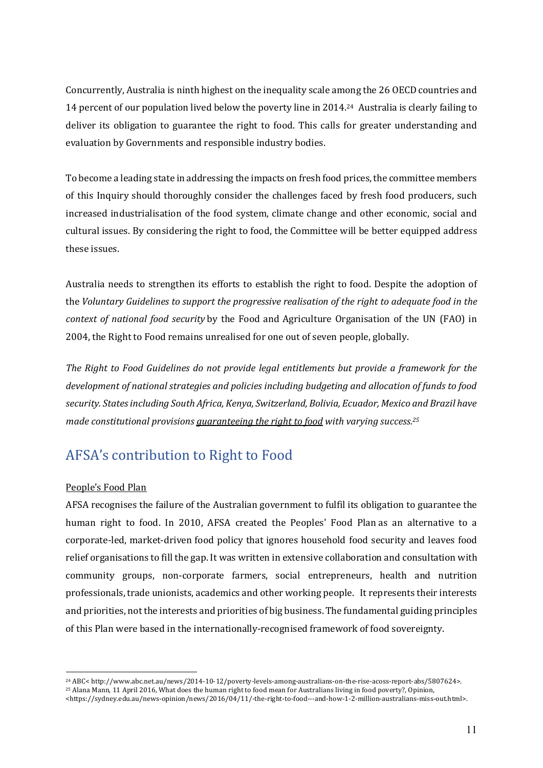Concurrently, Australia is ninth highest on the inequality scale among the 26 OECD countries and 14 percent of our population lived below the poverty line in 2014.<sup>24</sup> Australia is clearly failing to deliver its obligation to guarantee the right to food. This calls for greater understanding and evaluation by Governments and responsible industry bodies.

To become a leading state in addressing the impacts on fresh food prices, the committee members of this Inquiry should thoroughly consider the challenges faced by fresh food producers, such increased industrialisation of the food system, climate change and other economic, social and cultural issues. By considering the right to food, the Committee will be better equipped address these issues. 

Australia needs to strengthen its efforts to establish the right to food. Despite the adoption of the *Voluntary Guidelines to support the progressive realisation of the right to adequate food in the context of national food security* by the Food and Agriculture Organisation of the UN (FAO) in 2004, the Right to Food remains unrealised for one out of seven people, globally.

The Right to Food Guidelines do not provide legal entitlements but provide a framework for the development of national strategies and policies including budgeting and allocation of funds to food security. States including South Africa, Kenya, Switzerland, Bolivia, Ecuador, Mexico and Brazil have *made constitutional provisions <u>quaranteeing the right to food</u> with varying success.<sup>25</sup>* 

# AFSA's contribution to Right to Food

#### People's Food Plan

AFSA recognises the failure of the Australian government to fulfil its obligation to guarantee the human right to food. In 2010, AFSA created the Peoples' Food Plan as an alternative to a corporate-led, market-driven food policy that ignores household food security and leaves food relief organisations to fill the gap. It was written in extensive collaboration and consultation with community groups, non-corporate farmers, social entrepreneurs, health and nutrition professionals, trade unionists, academics and other working people. It represents their interests and priorities, not the interests and priorities of big business. The fundamental guiding principles of this Plan were based in the internationally-recognised framework of food sovereignty.

<sup>25</sup> Alana Mann, 11 April 2016, What does the human right to food mean for Australians living in food poverty?, Opinion,

 $\overline{a}$ <sup>24</sup> ABC< http://www.abc.net.au/news/2014-10-12/poverty-levels-among-australians-on-the-rise-acoss-report-abs/5807624>.

<sup>&</sup>lt;https://sydney.edu.au/news-opinion/news/2016/04/11/-the-right-to-food---and-how-1-2-million-australians-miss-out.html>.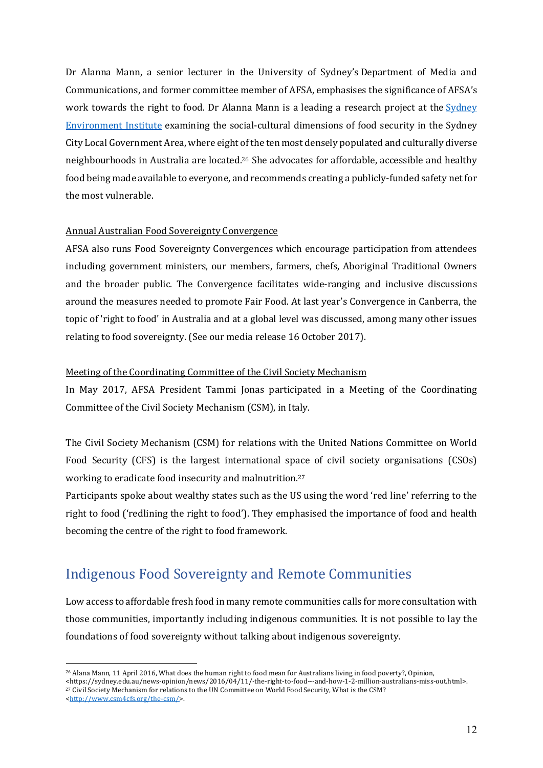Dr Alanna Mann, a senior lecturer in the University of Sydney's Department of Media and Communications, and former committee member of AFSA, emphasises the significance of AFSA's work towards the right to food. Dr Alanna Mann is a leading a research project at the Sydney Environment Institute examining the social-cultural dimensions of food security in the Sydney City Local Government Area, where eight of the ten most densely populated and culturally diverse neighbourhoods in Australia are located.<sup>26</sup> She advocates for affordable, accessible and healthy food being made available to everyone, and recommends creating a publicly-funded safety net for the most vulnerable.

#### Annual Australian Food Sovereignty Convergence

AFSA also runs Food Sovereignty Convergences which encourage participation from attendees including government ministers, our members, farmers, chefs, Aboriginal Traditional Owners and the broader public. The Convergence facilitates wide-ranging and inclusive discussions around the measures needed to promote Fair Food. At last year's Convergence in Canberra, the topic of 'right to food' in Australia and at a global level was discussed, among many other issues relating to food sovereignty. (See our media release 16 October 2017).

#### Meeting of the Coordinating Committee of the Civil Society Mechanism

In May 2017, AFSA President Tammi Jonas participated in a Meeting of the Coordinating Committee of the Civil Society Mechanism (CSM), in Italy.

The Civil Society Mechanism (CSM) for relations with the United Nations Committee on World Food Security (CFS) is the largest international space of civil society organisations (CSOs) working to eradicate food insecurity and malnutrition.<sup>27</sup>

Participants spoke about wealthy states such as the US using the word 'red line' referring to the right to food ('redlining the right to food'). They emphasised the importance of food and health becoming the centre of the right to food framework.

## Indigenous Food Sovereignty and Remote Communities

Low access to affordable fresh food in many remote communities calls for more consultation with those communities, importantly including indigenous communities. It is not possible to lay the foundations of food sovereignty without talking about indigenous sovereignty.

<sup>27</sup> Civil Society Mechanism for relations to the UN Committee on World Food Security, What is the CSM?

<sup>&</sup>lt;sup>26</sup> Alana Mann, 11 April 2016, What does the human right to food mean for Australians living in food poverty?, Opinion, <https://sydney.edu.au/news-opinion/news/2016/04/11/-the-right-to-food---and-how-1-2-million-australians-miss-out.html>.

<sup>&</sup>lt;http://www.csm4cfs.org/the-csm/>.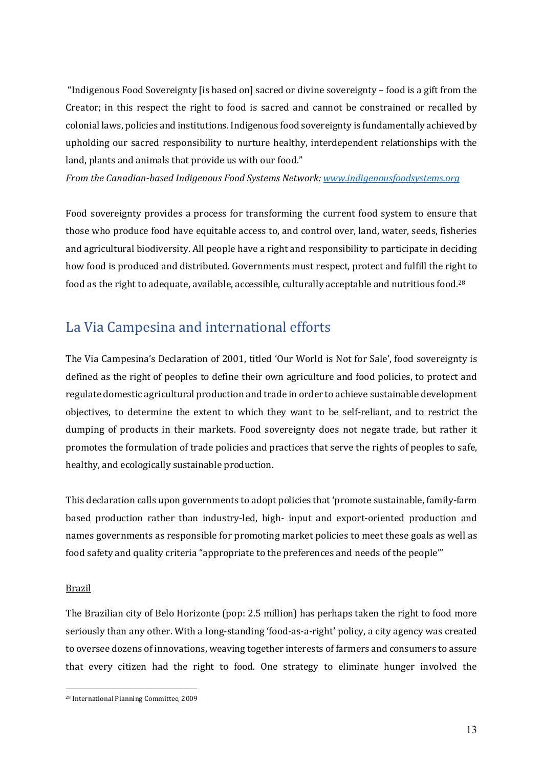"Indigenous Food Sovereignty [is based on] sacred or divine sovereignty  $-$  food is a gift from the Creator; in this respect the right to food is sacred and cannot be constrained or recalled by colonial laws, policies and institutions. Indigenous food sovereignty is fundamentally achieved by upholding our sacred responsibility to nurture healthy, interdependent relationships with the land, plants and animals that provide us with our food."

*From the Canadian-based Indigenous Food Systems Network: www.indigenousfoodsystems.org* 

Food sovereignty provides a process for transforming the current food system to ensure that those who produce food have equitable access to, and control over, land, water, seeds, fisheries and agricultural biodiversity. All people have a right and responsibility to participate in deciding how food is produced and distributed. Governments must respect, protect and fulfill the right to food as the right to adequate, available, accessible, culturally acceptable and nutritious food.<sup>28</sup>

## La Via Campesina and international efforts

The Via Campesina's Declaration of 2001, titled 'Our World is Not for Sale', food sovereignty is defined as the right of peoples to define their own agriculture and food policies, to protect and regulate domestic agricultural production and trade in order to achieve sustainable development objectives, to determine the extent to which they want to be self-reliant, and to restrict the dumping of products in their markets. Food sovereignty does not negate trade, but rather it promotes the formulation of trade policies and practices that serve the rights of peoples to safe, healthy, and ecologically sustainable production.

This declaration calls upon governments to adopt policies that 'promote sustainable, family-farm based production rather than industry-led, high- input and export-oriented production and names governments as responsible for promoting market policies to meet these goals as well as food safety and quality criteria "appropriate to the preferences and needs of the people"'

#### Brazil

The Brazilian city of Belo Horizonte (pop: 2.5 million) has perhaps taken the right to food more seriously than any other. With a long-standing 'food-as-a-right' policy, a city agency was created to oversee dozens of innovations, weaving together interests of farmers and consumers to assure that every citizen had the right to food. One strategy to eliminate hunger involved the

 $\overline{a}$ <sup>28</sup> International Planning Committee, 2009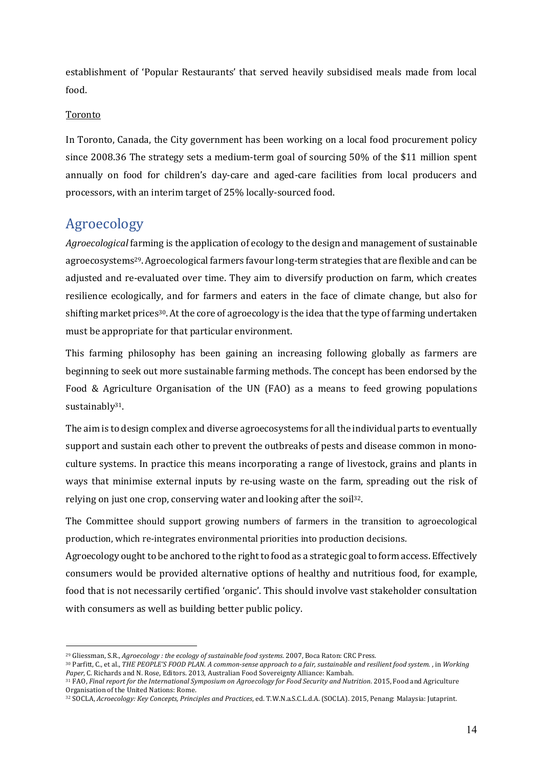establishment of 'Popular Restaurants' that served heavily subsidised meals made from local food.

#### Toronto

In Toronto, Canada, the City government has been working on a local food procurement policy since 2008.36 The strategy sets a medium-term goal of sourcing  $50\%$  of the \$11 million spent annually on food for children's day-care and aged-care facilities from local producers and processors, with an interim target of 25% locally-sourced food.

## Agroecology

 $\overline{a}$ 

*Agroecological* farming is the application of ecology to the design and management of sustainable agroecosystems29. Agroecological farmers favour long-term strategies that are flexible and can be adjusted and re-evaluated over time. They aim to diversify production on farm, which creates resilience ecologically, and for farmers and eaters in the face of climate change, but also for shifting market prices<sup>30</sup>. At the core of agroecology is the idea that the type of farming undertaken must be appropriate for that particular environment.

This farming philosophy has been gaining an increasing following globally as farmers are beginning to seek out more sustainable farming methods. The concept has been endorsed by the Food & Agriculture Organisation of the UN (FAO) as a means to feed growing populations sustainably<sup>31</sup>.

The aim is to design complex and diverse agroecosystems for all the individual parts to eventually support and sustain each other to prevent the outbreaks of pests and disease common in monoculture systems. In practice this means incorporating a range of livestock, grains and plants in ways that minimise external inputs by re-using waste on the farm, spreading out the risk of relying on just one crop, conserving water and looking after the soil32.

The Committee should support growing numbers of farmers in the transition to agroecological production, which re-integrates environmental priorities into production decisions. 

Agroecology ought to be anchored to the right to food as a strategic goal to form access. Effectively consumers would be provided alternative options of healthy and nutritious food, for example, food that is not necessarily certified 'organic'. This should involve vast stakeholder consultation with consumers as well as building better public policy.

<sup>&</sup>lt;sup>29</sup> Gliessman, S.R., *Agroecology : the ecology of sustainable food systems*. 2007. Boca Raton: CRC Press.

<sup>&</sup>lt;sup>30</sup> Parfitt, C., et al., *THE PEOPLE'S FOOD PLAN. A common-sense approach to a fair, sustainable and resilient food system. , in Working* Paper, C. Richards and N. Rose, Editors. 2013, Australian Food Sovereignty Alliance: Kambah.

<sup>&</sup>lt;sup>31</sup> FAO, Final report for the International Symposium on Agroecology for Food Security and Nutrition. 2015, Food and Agriculture Organisation of the United Nations: Rome.

<sup>32</sup> SOCLA, Acroecology: Key Concepts, Principles and Practices, ed. T.W.N.a.S.C.L.d.A. (SOCLA). 2015, Penang: Malaysia: Jutaprint.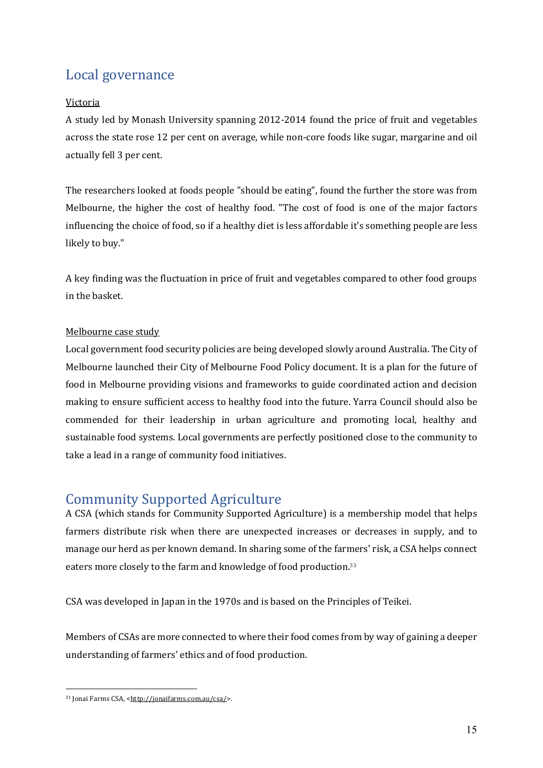# Local governance

#### Victoria

A study led by Monash University spanning 2012-2014 found the price of fruit and vegetables across the state rose 12 per cent on average, while non-core foods like sugar, margarine and oil actually fell 3 per cent.

The researchers looked at foods people "should be eating", found the further the store was from Melbourne, the higher the cost of healthy food. "The cost of food is one of the major factors influencing the choice of food, so if a healthy diet is less affordable it's something people are less likely to buy."

A key finding was the fluctuation in price of fruit and vegetables compared to other food groups in the basket.

#### Melbourne case study

Local government food security policies are being developed slowly around Australia. The City of Melbourne launched their City of Melbourne Food Policy document. It is a plan for the future of food in Melbourne providing visions and frameworks to guide coordinated action and decision making to ensure sufficient access to healthy food into the future. Yarra Council should also be commended for their leadership in urban agriculture and promoting local, healthy and sustainable food systems. Local governments are perfectly positioned close to the community to take a lead in a range of community food initiatives.

# Community Supported Agriculture

A CSA (which stands for Community Supported Agriculture) is a membership model that helps farmers distribute risk when there are unexpected increases or decreases in supply, and to manage our herd as per known demand. In sharing some of the farmers' risk, a CSA helps connect eaters more closely to the farm and knowledge of food production.<sup>33</sup>

CSA was developed in Japan in the 1970s and is based on the Principles of Teikei.

Members of CSAs are more connected to where their food comes from by way of gaining a deeper understanding of farmers' ethics and of food production.

 $\overline{a}$ 33 Jonai Farms CSA, <http://jonaifarms.com.au/csa/>.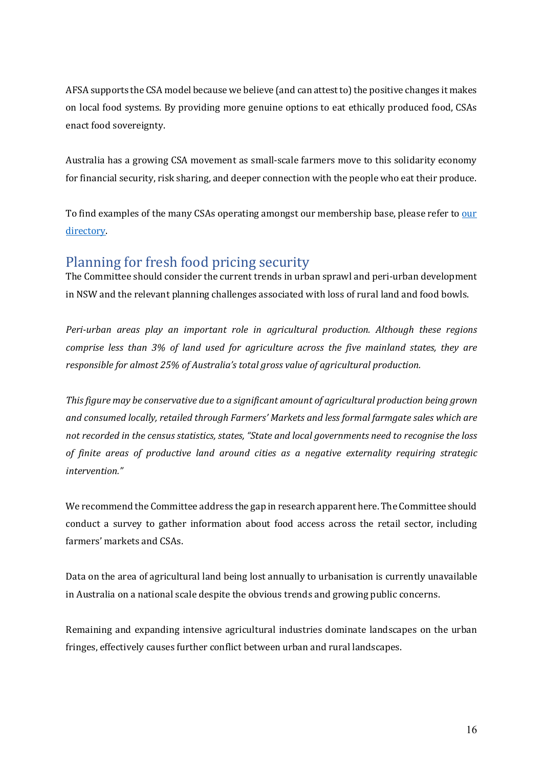AFSA supports the CSA model because we believe (and can attest to) the positive changes it makes on local food systems. By providing more genuine options to eat ethically produced food, CSAs enact food sovereignty.

Australia has a growing CSA movement as small-scale farmers move to this solidarity economy for financial security, risk sharing, and deeper connection with the people who eat their produce.

To find examples of the many CSAs operating amongst our membership base, please refer to our directory. 

# Planning for fresh food pricing security

The Committee should consider the current trends in urban sprawl and peri-urban development in NSW and the relevant planning challenges associated with loss of rural land and food bowls.

*Peri-urban areas play an important role in agricultural production. Although these regions comprise less than 3% of land used for agriculture across the five mainland states, they are responsible for almost 25% of Australia's total gross value of agricultural production.* 

*This figure may be conservative due to a significant amount of agricultural production being grown* and consumed *locally, retailed through Farmers' Markets and less formal farmgate sales which are not recorded in the census statistics, states, "State and local governments need to recognise the loss of finite areas of productive land around cities as a negative externality requiring strategic intervention."*

We recommend the Committee address the gap in research apparent here. The Committee should conduct a survey to gather information about food access across the retail sector, including farmers' markets and CSAs.

Data on the area of agricultural land being lost annually to urbanisation is currently unavailable in Australia on a national scale despite the obvious trends and growing public concerns.

Remaining and expanding intensive agricultural industries dominate landscapes on the urban fringes, effectively causes further conflict between urban and rural landscapes.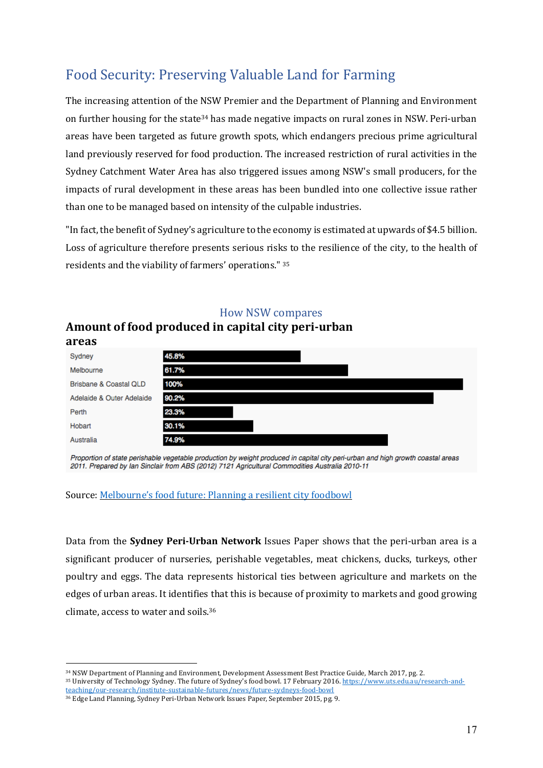# Food Security: Preserving Valuable Land for Farming

The increasing attention of the NSW Premier and the Department of Planning and Environment on further housing for the state34 has made negative impacts on rural zones in NSW. Peri-urban areas have been targeted as future growth spots, which endangers precious prime agricultural land previously reserved for food production. The increased restriction of rural activities in the Sydney Catchment Water Area has also triggered issues among NSW's small producers, for the impacts of rural development in these areas has been bundled into one collective issue rather than one to be managed based on intensity of the culpable industries.

"In fact, the benefit of Sydney's agriculture to the economy is estimated at upwards of \$4.5 billion. Loss of agriculture therefore presents serious risks to the resilience of the city, to the health of residents and the viability of farmers' operations." <sup>35</sup>

| Sydney                    | 45.8% |
|---------------------------|-------|
| Melbourne                 | 61.7% |
| Brisbane & Coastal QLD    | 100%  |
| Adelaide & Outer Adelaide | 90.2% |
| Perth                     | 23.3% |
| Hobart                    | 30.1% |
| Australia                 | 74.9% |
|                           |       |

#### How NSW compares

#### Amount of food produced in capital city peri-urban **areas**

Proportion of state perishable vegetable production by weight produced in capital city peri-urban and high growth coastal areas 2011. Prepared by Ian Sinclair from ABS (2012) 7121 Agricultural Commodities Australia 2010-11

Source: Melbourne's food future: Planning a resilient city foodbowl

Data from the **Sydney Peri-Urban Network** Issues Paper shows that the peri-urban area is a significant producer of nurseries, perishable vegetables, meat chickens, ducks, turkeys, other poultry and eggs. The data represents historical ties between agriculture and markets on the edges of urban areas. It identifies that this is because of proximity to markets and good growing climate, access to water and soils.36

<sup>34</sup> NSW Department of Planning and Environment, Development Assessment Best Practice Guide, March 2017, pg. 2.

<sup>35</sup> University of Technology Sydney. The future of Sydney's food bowl. 17 February 2016. https://www.uts.edu.au/research-andteaching/our-research/institute-sustainable-futures/news/future-sydneys-food-bowl

<sup>36</sup> Edge Land Planning, Sydney Peri-Urban Network Issues Paper, September 2015, pg. 9.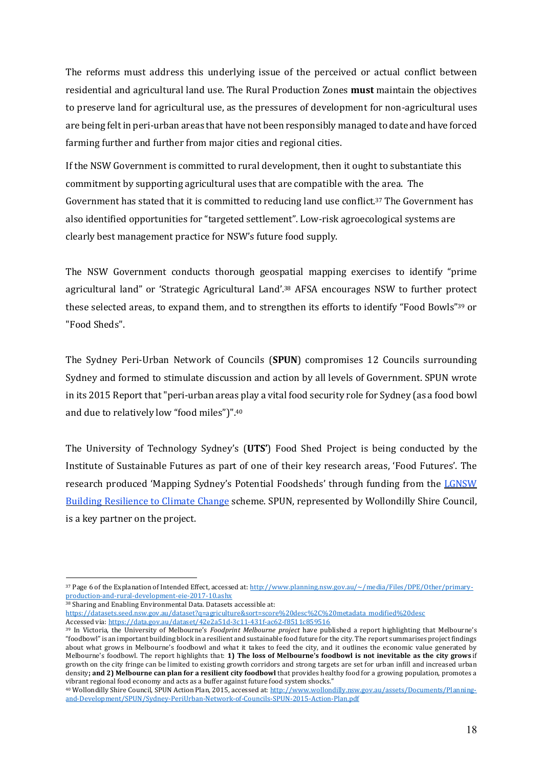The reforms must address this underlying issue of the perceived or actual conflict between residential and agricultural land use. The Rural Production Zones **must** maintain the objectives to preserve land for agricultural use, as the pressures of development for non-agricultural uses are being felt in peri-urban areas that have not been responsibly managed to date and have forced farming further and further from major cities and regional cities.

If the NSW Government is committed to rural development, then it ought to substantiate this commitment by supporting agricultural uses that are compatible with the area. The Government has stated that it is committed to reducing land use conflict.<sup>37</sup> The Government has also identified opportunities for "targeted settlement". Low-risk agroecological systems are clearly best management practice for NSW's future food supply.

The NSW Government conducts thorough geospatial mapping exercises to identify "prime agricultural land" or 'Strategic Agricultural Land'.38 AFSA encourages NSW to further protect these selected areas, to expand them, and to strengthen its efforts to identify "Food Bowls"39 or "Food Sheds".

The Sydney Peri-Urban Network of Councils (**SPUN**) compromises 12 Councils surrounding Sydney and formed to stimulate discussion and action by all levels of Government. SPUN wrote in its 2015 Report that "peri-urban areas play a vital food security role for Sydney (as a food bowl and due to relatively low "food miles")".40

The University of Technology Sydney's (**UTS'**) Food Shed Project is being conducted by the Institute of Sustainable Futures as part of one of their key research areas, 'Food Futures'. The research produced 'Mapping Sydney's Potential Foodsheds' through funding from the LGNSW Building Resilience to Climate Change scheme. SPUN, represented by Wollondilly Shire Council, is a key partner on the project.

 $\overline{a}$ 

https://datasets.seed.nsw.gov.au/dataset?q=agriculture&sort=score%20desc%2C%20metadata\_modified%20desc Accessed via: https://data.gov.au/dataset/42e2a51d-3c11-431f-ac62-f8511c859516

<sup>37</sup> Page 6 of the Explanation of Intended Effect, accessed at: http://www.planning.nsw.gov.au/~/media/Files/DPE/Other/primaryproduction-and-rural-development-eie-2017-10.ashx

<sup>&</sup>lt;sup>38</sup> Sharing and Enabling Environmental Data. Datasets accessible at:

<sup>39</sup> In Victoria, the University of Melbourne's *Foodprint Melbourne project* have published a report highlighting that Melbourne's "foodbowl" is an important building block in a resilient and sustainable food future for the city. The report summarises project findings about what grows in Melbourne's foodbowl and what it takes to feed the city, and it outlines the economic value generated by Melbourne's foodbowl. The report highlights that: 1) The loss of Melbourne's foodbowl is not inevitable as the city grows if growth on the city fringe can be limited to existing growth corridors and strong targets are set for urban infill and increased urban density; and 2) Melbourne can plan for a resilient city foodbowl that provides healthy food for a growing population, promotes a vibrant regional food economy and acts as a buffer against future food system shocks."

<sup>40</sup> Wollondilly Shire Council, SPUN Action Plan, 2015, accessed at: http://www.wollondilly.nsw.gov.au/assets/Documents/Planningand-Development/SPUN/Sydney-PeriUrban-Network-of-Councils-SPUN-2015-Action-Plan.pdf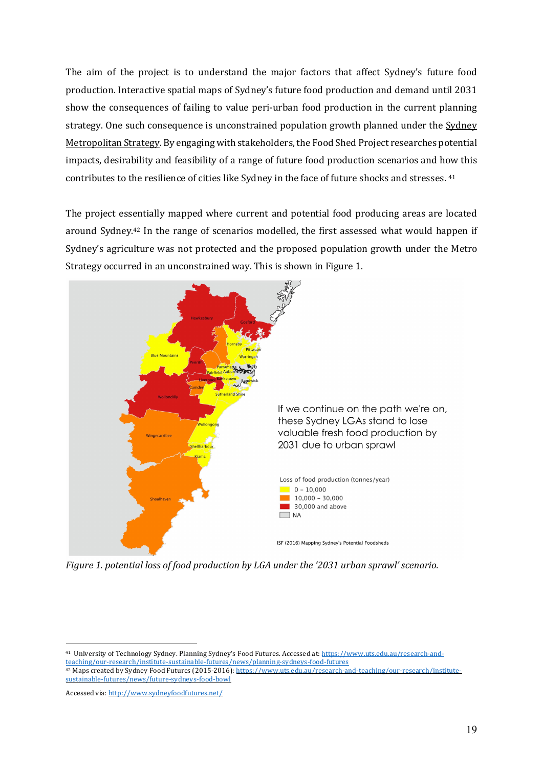The aim of the project is to understand the major factors that affect Sydney's future food production. Interactive spatial maps of Sydney's future food production and demand until 2031 show the consequences of failing to value peri-urban food production in the current planning strategy. One such consequence is unconstrained population growth planned under the Sydney Metropolitan Strategy. By engaging with stakeholders, the Food Shed Project researches potential impacts, desirability and feasibility of a range of future food production scenarios and how this contributes to the resilience of cities like Sydney in the face of future shocks and stresses. <sup>41</sup>

The project essentially mapped where current and potential food producing areas are located around Sydney.<sup>42</sup> In the range of scenarios modelled, the first assessed what would happen if Sydney's agriculture was not protected and the proposed population growth under the Metro Strategy occurred in an unconstrained way. This is shown in Figure 1.



*Figure 1. potential loss of food production by LGA under the '2031 urban sprawl' scenario.* 

<sup>41</sup> University of Technology Sydney. Planning Sydney's Food Futures. Accessed at: https://www.uts.edu.au/research-andteaching/our-research/institute-sustainable-futures/news/planning-sydneys-food-futures <sup>42</sup> Maps created by Sydney Food Futures (2015-2016): https://www.uts.edu.au/research-and-teaching/our-research/institutesustainable-futures/news/future-sydneys-food-bowl 

Accessed via: http://www.sydneyfoodfutures.net/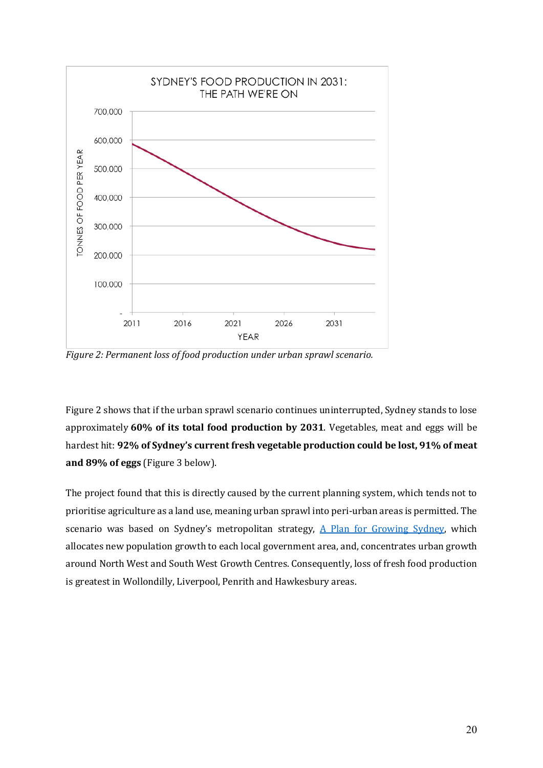

*Figure 2: Permanent loss of food production under urban sprawl scenario.* 

Figure 2 shows that if the urban sprawl scenario continues uninterrupted, Sydney stands to lose approximately **60% of its total food production by 2031**. Vegetables, meat and eggs will be hardest hit: **92% of Sydney's current fresh vegetable production could be lost, 91% of meat and 89% of eggs** (Figure 3 below).

The project found that this is directly caused by the current planning system, which tends not to prioritise agriculture as a land use, meaning urban sprawl into peri-urban areas is permitted. The scenario was based on Sydney's metropolitan strategy,  $A$  Plan for Growing Sydney, which allocates new population growth to each local government area, and, concentrates urban growth around North West and South West Growth Centres. Consequently, loss of fresh food production is greatest in Wollondilly, Liverpool, Penrith and Hawkesbury areas.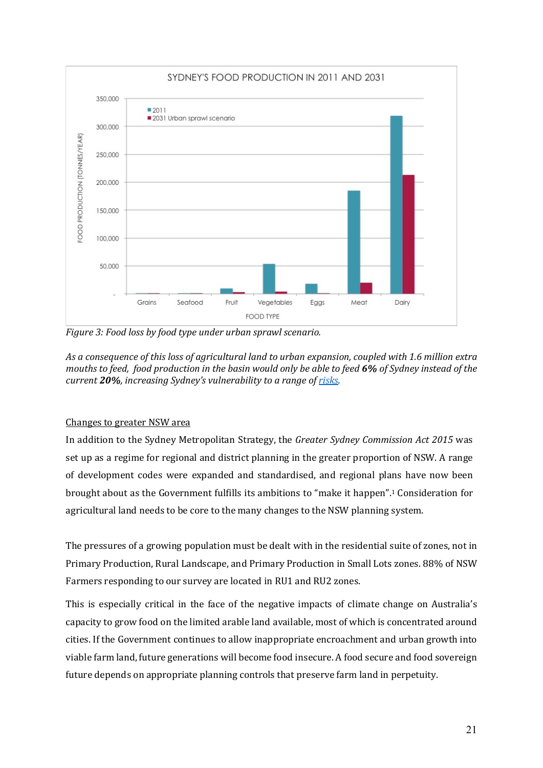

*Figure 3: Food loss by food type under urban sprawl scenario.* 

As a consequence of this loss of agricultural land to urban expansion, coupled with 1.6 million extra *mouths to feed, food production in the basin would only be able to feed 6% of Sydney instead of the current* 20%, increasing *Sydney's* vulnerability to a range of risks.

#### Changes to greater NSW area

In addition to the Sydney Metropolitan Strategy, the *Greater Sydney Commission Act 2015* was set up as a regime for regional and district planning in the greater proportion of NSW. A range of development codes were expanded and standardised, and regional plans have now been brought about as the Government fulfills its ambitions to "make it happen".<sup>1</sup> Consideration for agricultural land needs to be core to the many changes to the NSW planning system.

The pressures of a growing population must be dealt with in the residential suite of zones, not in Primary Production, Rural Landscape, and Primary Production in Small Lots zones. 88% of NSW Farmers responding to our survey are located in RU1 and RU2 zones.

This is especially critical in the face of the negative impacts of climate change on Australia's capacity to grow food on the limited arable land available, most of which is concentrated around cities. If the Government continues to allow inappropriate encroachment and urban growth into viable farm land, future generations will become food insecure. A food secure and food sovereign future depends on appropriate planning controls that preserve farm land in perpetuity.